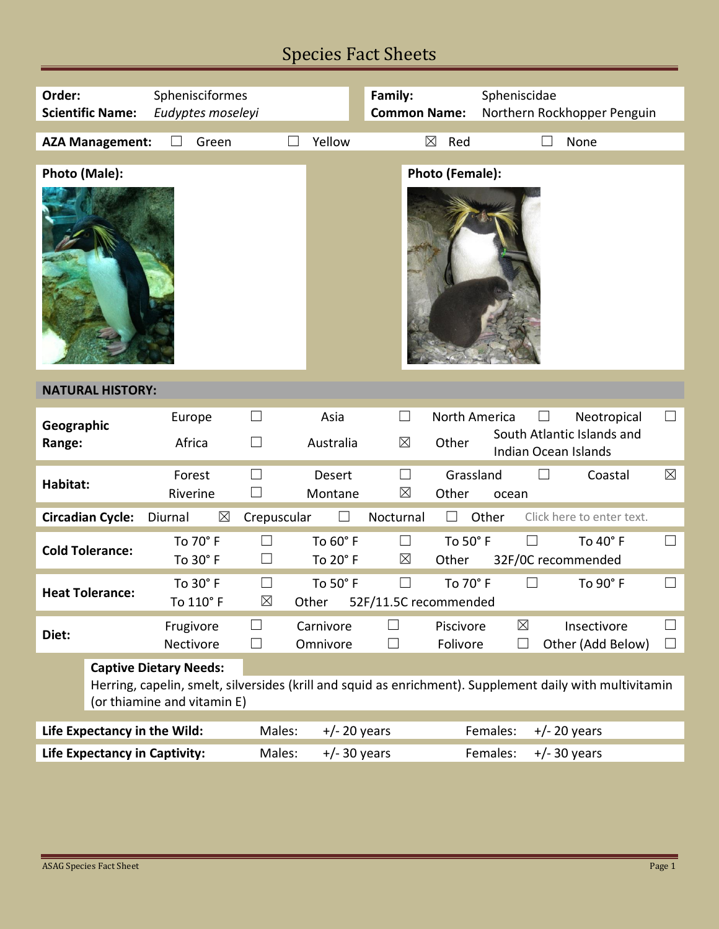# Species Fact Sheets

| Order:<br>Sphenisciformes<br><b>Scientific Name:</b><br>Eudyptes moseleyi |                                                                                                                                                                          |                        |                               | Family:<br><b>Common Name:</b> |                            | Spheniscidae<br>Northern Rockhopper Penguin |                                                                                        |              |
|---------------------------------------------------------------------------|--------------------------------------------------------------------------------------------------------------------------------------------------------------------------|------------------------|-------------------------------|--------------------------------|----------------------------|---------------------------------------------|----------------------------------------------------------------------------------------|--------------|
|                                                                           | <b>AZA Management:</b>                                                                                                                                                   | Green                  |                               | Yellow                         |                            | $\boxtimes$<br>Red                          | None                                                                                   |              |
| Photo (Male):                                                             |                                                                                                                                                                          |                        |                               |                                |                            | <b>Photo (Female):</b>                      |                                                                                        |              |
| <b>NATURAL HISTORY:</b>                                                   |                                                                                                                                                                          |                        |                               |                                |                            |                                             |                                                                                        |              |
| Geographic<br>Range:                                                      |                                                                                                                                                                          | Europe<br>Africa       | $\Box$<br>$\Box$              | Asia<br>Australia              | $\Box$<br>$\boxtimes$      | North America<br>Other                      | Neotropical<br>$\vert \ \ \vert$<br>South Atlantic Islands and<br>Indian Ocean Islands | $\Box$       |
| Habitat:                                                                  |                                                                                                                                                                          | Forest<br>Riverine     | $\Box$<br>$\vert \ \ \vert$   | <b>Desert</b><br>Montane       | $\Box$<br>$\boxtimes$      | Grassland<br>Other                          | $\Box$<br>Coastal<br>ocean                                                             | $\boxtimes$  |
|                                                                           | <b>Circadian Cycle:</b>                                                                                                                                                  | $\boxtimes$<br>Diurnal | Crepuscular                   | $\Box$                         | Nocturnal                  | $\Box$                                      | Other<br>Click here to enter text.                                                     |              |
| <b>Cold Tolerance:</b>                                                    |                                                                                                                                                                          | To 70° F<br>To 30° F   | $\Box$                        | To 60° F<br>To 20° F           | $\Box$<br>$\boxtimes$      | To 50° F<br>Other                           | $\Box$<br>To $40^\circ$ F<br>32F/0C recommended                                        | $\Box$       |
| <b>Heat Tolerance:</b>                                                    |                                                                                                                                                                          | To 30° F<br>To 110° F  | $\blacksquare$<br>$\boxtimes$ | To 50° F<br>Other              | П<br>52F/11.5C recommended | To 70° F                                    | $\Box$<br>To 90° F                                                                     |              |
| Diet:                                                                     |                                                                                                                                                                          | Frugivore<br>Nectivore | $\perp$<br>$\Box$             | Carnivore<br>Omnivore          | $\Box$                     | Piscivore<br>Folivore                       | $\boxtimes$<br>Insectivore<br>Other (Add Below)<br>$\Box$                              | $\mathsf{L}$ |
|                                                                           | <b>Captive Dietary Needs:</b><br>Herring, capelin, smelt, silversides (krill and squid as enrichment). Supplement daily with multivitamin<br>(or thiamine and vitamin E) |                        |                               |                                |                            |                                             |                                                                                        |              |
| Life Expectancy in the Wild:                                              |                                                                                                                                                                          |                        | Males:                        | $+/- 20$ years                 |                            |                                             | Females:<br>$+/- 20$ years                                                             |              |
| <b>Life Expectancy in Captivity:</b>                                      |                                                                                                                                                                          |                        | Males:                        | $+/- 30$ years                 |                            |                                             | Females:<br>$+/- 30$ years                                                             |              |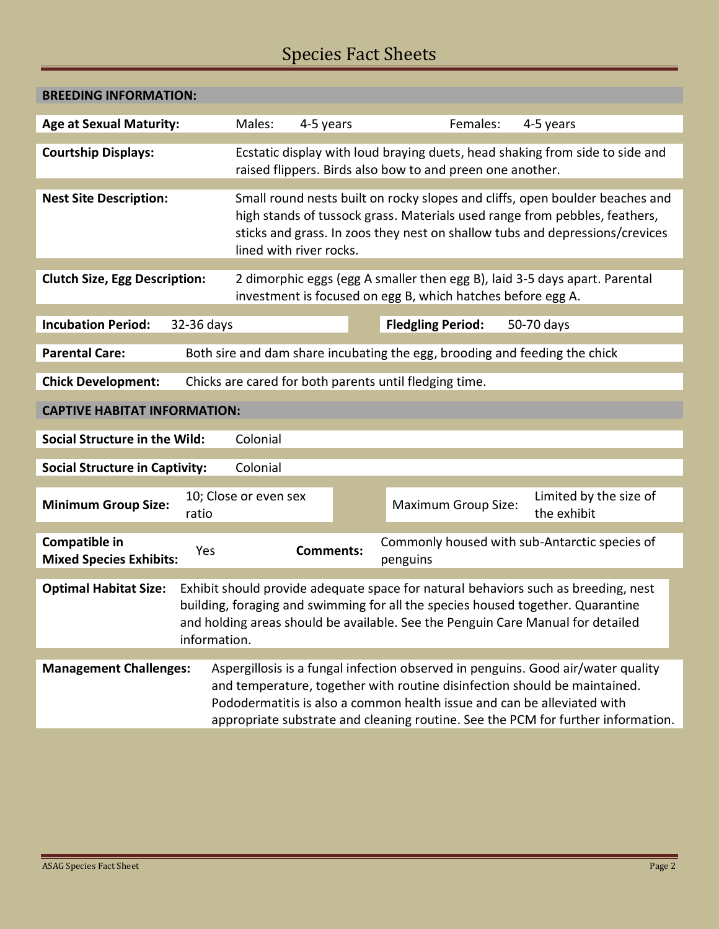# Species Fact Sheets

| <b>BREEDING INFORMATION:</b>                                                                                                                                                                                                                                                                             |                       |                                                                                                                                                                                                                                                                                                                              |                                                                     |  |  |  |  |  |  |
|----------------------------------------------------------------------------------------------------------------------------------------------------------------------------------------------------------------------------------------------------------------------------------------------------------|-----------------------|------------------------------------------------------------------------------------------------------------------------------------------------------------------------------------------------------------------------------------------------------------------------------------------------------------------------------|---------------------------------------------------------------------|--|--|--|--|--|--|
| <b>Age at Sexual Maturity:</b>                                                                                                                                                                                                                                                                           | Males:                | 4-5 years                                                                                                                                                                                                                                                                                                                    | Females:<br>4-5 years                                               |  |  |  |  |  |  |
| <b>Courtship Displays:</b>                                                                                                                                                                                                                                                                               |                       | Ecstatic display with loud braying duets, head shaking from side to side and<br>raised flippers. Birds also bow to and preen one another.                                                                                                                                                                                    |                                                                     |  |  |  |  |  |  |
| <b>Nest Site Description:</b>                                                                                                                                                                                                                                                                            |                       | Small round nests built on rocky slopes and cliffs, open boulder beaches and<br>high stands of tussock grass. Materials used range from pebbles, feathers,<br>sticks and grass. In zoos they nest on shallow tubs and depressions/crevices<br>lined with river rocks.                                                        |                                                                     |  |  |  |  |  |  |
| <b>Clutch Size, Egg Description:</b>                                                                                                                                                                                                                                                                     |                       | 2 dimorphic eggs (egg A smaller then egg B), laid 3-5 days apart. Parental<br>investment is focused on egg B, which hatches before egg A.                                                                                                                                                                                    |                                                                     |  |  |  |  |  |  |
| <b>Incubation Period:</b><br>32-36 days                                                                                                                                                                                                                                                                  |                       |                                                                                                                                                                                                                                                                                                                              | <b>Fledgling Period:</b><br>50-70 days                              |  |  |  |  |  |  |
| <b>Parental Care:</b><br>Both sire and dam share incubating the egg, brooding and feeding the chick                                                                                                                                                                                                      |                       |                                                                                                                                                                                                                                                                                                                              |                                                                     |  |  |  |  |  |  |
| Chicks are cared for both parents until fledging time.<br><b>Chick Development:</b>                                                                                                                                                                                                                      |                       |                                                                                                                                                                                                                                                                                                                              |                                                                     |  |  |  |  |  |  |
| <b>CAPTIVE HABITAT INFORMATION:</b>                                                                                                                                                                                                                                                                      |                       |                                                                                                                                                                                                                                                                                                                              |                                                                     |  |  |  |  |  |  |
| <b>Social Structure in the Wild:</b><br>Colonial                                                                                                                                                                                                                                                         |                       |                                                                                                                                                                                                                                                                                                                              |                                                                     |  |  |  |  |  |  |
| <b>Social Structure in Captivity:</b><br>Colonial                                                                                                                                                                                                                                                        |                       |                                                                                                                                                                                                                                                                                                                              |                                                                     |  |  |  |  |  |  |
| <b>Minimum Group Size:</b><br>ratio                                                                                                                                                                                                                                                                      | 10; Close or even sex |                                                                                                                                                                                                                                                                                                                              | Limited by the size of<br><b>Maximum Group Size:</b><br>the exhibit |  |  |  |  |  |  |
| Compatible in<br><b>Mixed Species Exhibits:</b>                                                                                                                                                                                                                                                          | Yes                   | <b>Comments:</b>                                                                                                                                                                                                                                                                                                             | Commonly housed with sub-Antarctic species of<br>penguins           |  |  |  |  |  |  |
| Exhibit should provide adequate space for natural behaviors such as breeding, nest<br><b>Optimal Habitat Size:</b><br>building, foraging and swimming for all the species housed together. Quarantine<br>and holding areas should be available. See the Penguin Care Manual for detailed<br>information. |                       |                                                                                                                                                                                                                                                                                                                              |                                                                     |  |  |  |  |  |  |
| <b>Management Challenges:</b>                                                                                                                                                                                                                                                                            |                       | Aspergillosis is a fungal infection observed in penguins. Good air/water quality<br>and temperature, together with routine disinfection should be maintained.<br>Pododermatitis is also a common health issue and can be alleviated with<br>appropriate substrate and cleaning routine. See the PCM for further information. |                                                                     |  |  |  |  |  |  |